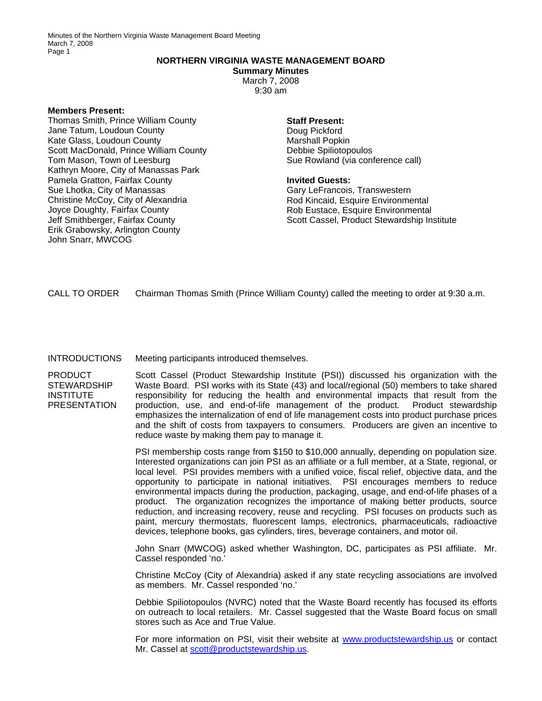Minutes of the Northern Virginia Waste Management Board Meeting March 7, 2008 Page 1

# **NORTHERN VIRGINIA WASTE MANAGEMENT BOARD**

**Summary Minutes**  March 7, 2008 9:30 am

#### **Members Present:**

Thomas Smith, Prince William County Jane Tatum, Loudoun County Kate Glass, Loudoun County Scott MacDonald, Prince William County Tom Mason, Town of Leesburg Kathryn Moore, City of Manassas Park Pamela Gratton, Fairfax County Sue Lhotka, City of Manassas Christine McCoy, City of Alexandria Joyce Doughty, Fairfax County Jeff Smithberger, Fairfax County Erik Grabowsky, Arlington County John Snarr, MWCOG

## **Staff Present:**

Doug Pickford Marshall Popkin Debbie Spiliotopoulos Sue Rowland (via conference call)

### **Invited Guests:**

Gary LeFrancois, Transwestern Rod Kincaid, Esquire Environmental Rob Eustace, Esquire Environmental Scott Cassel, Product Stewardship Institute

CALL TO ORDER Chairman Thomas Smith (Prince William County) called the meeting to order at 9:30 a.m.

### INTRODUCTIONS Meeting participants introduced themselves.

PRODUCT **STEWARDSHIP** INSTITUTE **PRESENTATION** 

Scott Cassel (Product Stewardship Institute (PSI)) discussed his organization with the Waste Board. PSI works with its State (43) and local/regional (50) members to take shared responsibility for reducing the health and environmental impacts that result from the production, use, and end-of-life management of the product. Product stewardship emphasizes the internalization of end of life management costs into product purchase prices and the shift of costs from taxpayers to consumers. Producers are given an incentive to reduce waste by making them pay to manage it.

PSI membership costs range from \$150 to \$10,000 annually, depending on population size. Interested organizations can join PSI as an affiliate or a full member, at a State, regional, or local level. PSI provides members with a unified voice, fiscal relief, objective data, and the opportunity to participate in national initiatives. PSI encourages members to reduce environmental impacts during the production, packaging, usage, and end-of-life phases of a product. The organization recognizes the importance of making better products, source reduction, and increasing recovery, reuse and recycling. PSI focuses on products such as paint, mercury thermostats, fluorescent lamps, electronics, pharmaceuticals, radioactive devices, telephone books, gas cylinders, tires, beverage containers, and motor oil.

John Snarr (MWCOG) asked whether Washington, DC, participates as PSI affiliate. Mr. Cassel responded 'no.'

Christine McCoy (City of Alexandria) asked if any state recycling associations are involved as members. Mr. Cassel responded 'no.'

Debbie Spiliotopoulos (NVRC) noted that the Waste Board recently has focused its efforts on outreach to local retailers. Mr. Cassel suggested that the Waste Board focus on small stores such as Ace and True Value.

For more information on PSI, visit their website at [www.productstewardship.us](http://www.productstewardship.us/) or contact Mr. Cassel at [scott@productstewardship.us.](mailto:scott@productstewardship.us)